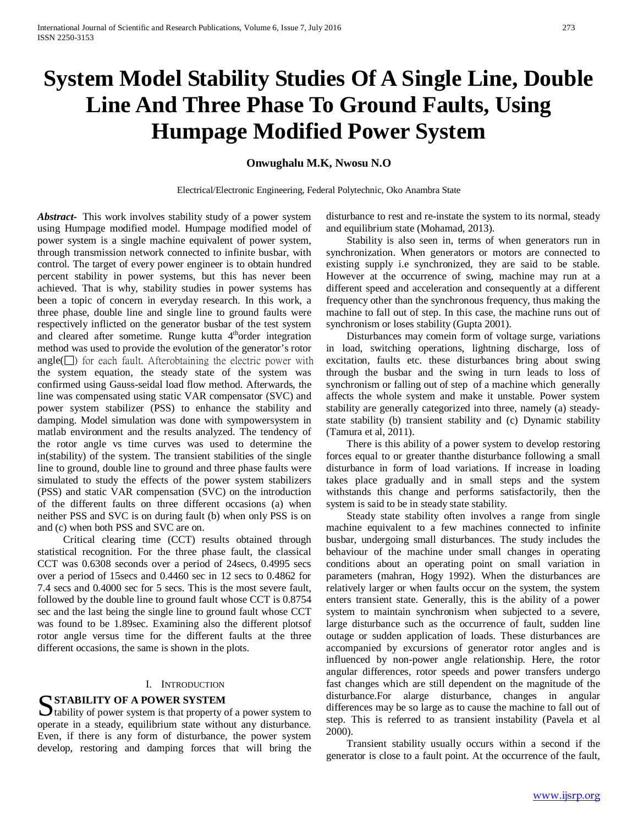# **System Model Stability Studies Of A Single Line, Double Line And Three Phase To Ground Faults, Using Humpage Modified Power System**

**Onwughalu M.K, Nwosu N.O**

Electrical/Electronic Engineering, Federal Polytechnic, Oko Anambra State

*Abstract***-** This work involves stability study of a power system using Humpage modified model. Humpage modified model of power system is a single machine equivalent of power system, through transmission network connected to infinite busbar, with control. The target of every power engineer is to obtain hundred percent stability in power systems, but this has never been achieved. That is why, stability studies in power systems has been a topic of concern in everyday research. In this work, a three phase, double line and single line to ground faults were respectively inflicted on the generator busbar of the test system and cleared after sometime. Runge kutta  $4<sup>th</sup>$ order integration method was used to provide the evolution of the generator's rotor  $angle(\Box)$  for each fault. Afterobtaining the electric power with the system equation, the steady state of the system was confirmed using Gauss-seidal load flow method. Afterwards, the line was compensated using static VAR compensator (SVC) and power system stabilizer (PSS) to enhance the stability and damping. Model simulation was done with sympowersystem in matlab environment and the results analyzed. The tendency of the rotor angle vs time curves was used to determine the in(stability) of the system. The transient stabilities of the single line to ground, double line to ground and three phase faults were simulated to study the effects of the power system stabilizers (PSS) and static VAR compensation (SVC) on the introduction of the different faults on three different occasions (a) when neither PSS and SVC is on during fault (b) when only PSS is on and (c) when both PSS and SVC are on.

 Critical clearing time (CCT) results obtained through statistical recognition. For the three phase fault, the classical CCT was 0.6308 seconds over a period of 24secs, 0.4995 secs over a period of 15secs and 0.4460 sec in 12 secs to 0.4862 for 7.4 secs and 0.4000 sec for 5 secs. This is the most severe fault, followed by the double line to ground fault whose CCT is 0.8754 sec and the last being the single line to ground fault whose CCT was found to be 1.89sec. Examining also the different plotsof rotor angle versus time for the different faults at the three different occasions, the same is shown in the plots.

#### I. INTRODUCTION

**STABILITY OF A POWER SYSTEM**<br>
tability of power system is that property of power system is that property of  $\bigcup$  tability of power system is that property of a power system to operate in a steady, equilibrium state without any disturbance. Even, if there is any form of disturbance, the power system develop, restoring and damping forces that will bring the disturbance to rest and re-instate the system to its normal, steady and equilibrium state (Mohamad, 2013).

 Stability is also seen in, terms of when generators run in synchronization. When generators or motors are connected to existing supply i.e synchronized, they are said to be stable. However at the occurrence of swing, machine may run at a different speed and acceleration and consequently at a different frequency other than the synchronous frequency, thus making the machine to fall out of step. In this case, the machine runs out of synchronism or loses stability (Gupta 2001).

 Disturbances may comein form of voltage surge, variations in load, switching operations, lightning discharge, loss of excitation, faults etc. these disturbances bring about swing through the busbar and the swing in turn leads to loss of synchronism or falling out of step of a machine which generally affects the whole system and make it unstable. Power system stability are generally categorized into three, namely (a) steadystate stability (b) transient stability and (c) Dynamic stability (Tamura et al, 2011).

 There is this ability of a power system to develop restoring forces equal to or greater thanthe disturbance following a small disturbance in form of load variations. If increase in loading takes place gradually and in small steps and the system withstands this change and performs satisfactorily, then the system is said to be in steady state stability.

 Steady state stability often involves a range from single machine equivalent to a few machines connected to infinite busbar, undergoing small disturbances. The study includes the behaviour of the machine under small changes in operating conditions about an operating point on small variation in parameters (mahran, Hogy 1992). When the disturbances are relatively larger or when faults occur on the system, the system enters transient state. Generally, this is the ability of a power system to maintain synchronism when subjected to a severe, large disturbance such as the occurrence of fault, sudden line outage or sudden application of loads. These disturbances are accompanied by excursions of generator rotor angles and is influenced by non-power angle relationship. Here, the rotor angular differences, rotor speeds and power transfers undergo fast changes which are still dependent on the magnitude of the disturbance.For alarge disturbance, changes in angular differences may be so large as to cause the machine to fall out of step. This is referred to as transient instability (Pavela et al 2000).

 Transient stability usually occurs within a second if the generator is close to a fault point. At the occurrence of the fault,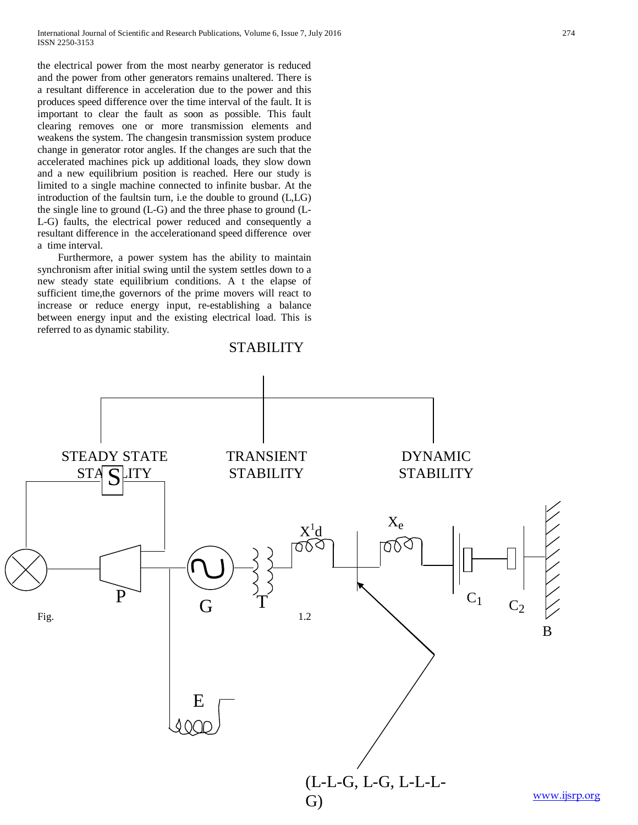the electrical power from the most nearby generator is reduced and the power from other generators remains unaltered. There is a resultant difference in acceleration due to the power and this produces speed difference over the time interval of the fault. It is important to clear the fault as soon as possible. This fault clearing removes one or more transmission elements and weakens the system. The changesin transmission system produce change in generator rotor angles. If the changes are such that the accelerated machines pick up additional loads, they slow down and a new equilibrium position is reached. Here our study is limited to a single machine connected to infinite busbar. At the introduction of the faultsin turn, i.e the double to ground (L,LG) the single line to ground (L-G) and the three phase to ground (L-L-G) faults, the electrical power reduced and consequently a resultant difference in the accelerationand speed difference over a time interval.

 Furthermore, a power system has the ability to maintain synchronism after initial swing until the system settles down to a new steady state equilibrium conditions. A t the elapse of sufficient time,the governors of the prime movers will react to increase or reduce energy input, re-establishing a balance between energy input and the existing electrical load. This is referred to as dynamic stability.

# **STABILITY**



[www.ijsrp.org](http://ijsrp.org/)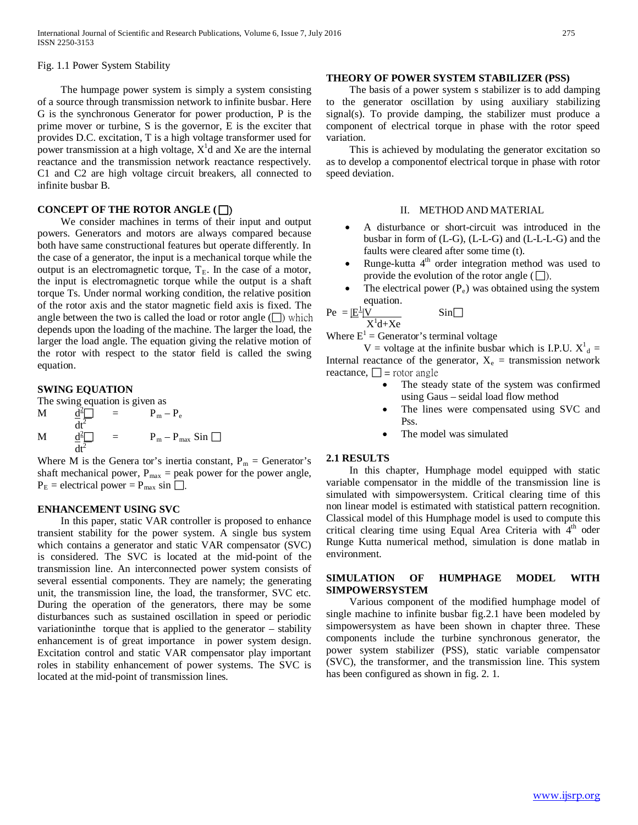Fig. 1.1 Power System Stability

 The humpage power system is simply a system consisting of a source through transmission network to infinite busbar. Here G is the synchronous Generator for power production, P is the prime mover or turbine, S is the governor, E is the exciter that provides D.C. excitation, T is a high voltage transformer used for power transmission at a high voltage,  $X<sup>1</sup>d$  and Xe are the internal reactance and the transmission network reactance respectively. C1 and C2 are high voltage circuit breakers, all connected to infinite busbar B.

#### **CONCEPT OF THE ROTOR ANGLE (**)

 We consider machines in terms of their input and output powers. Generators and motors are always compared because both have same constructional features but operate differently. In the case of a generator, the input is a mechanical torque while the output is an electromagnetic torque,  $T_E$ . In the case of a motor, the input is electromagnetic torque while the output is a shaft torque Ts. Under normal working condition, the relative position of the rotor axis and the stator magnetic field axis is fixed. The angle between the two is called the load or rotor angle  $(\Box)$  which depends upon the loading of the machine. The larger the load, the larger the load angle. The equation giving the relative motion of the rotor with respect to the stator field is called the swing equation.

## **SWING EQUATION**

The swing equation is given as  
\n
$$
M \frac{d^{2} \Box}{dt^{2}} = P_{m} - P_{e}
$$
\n
$$
M \frac{d^{2} \Box}{dt^{2}} = P_{m} - P_{max} \sin \Box
$$

Where M is the Genera tor's inertia constant,  $P_m =$  Generator's shaft mechanical power,  $P_{max}$  = peak power for the power angle,  $P_E$  = electrical power =  $P_{max}$  sin  $\Box$ .

#### **ENHANCEMENT USING SVC**

 In this paper, static VAR controller is proposed to enhance transient stability for the power system. A single bus system which contains a generator and static VAR compensator (SVC) is considered. The SVC is located at the mid-point of the transmission line. An interconnected power system consists of several essential components. They are namely; the generating unit, the transmission line, the load, the transformer, SVC etc. During the operation of the generators, there may be some disturbances such as sustained oscillation in speed or periodic variationinthe torque that is applied to the generator – stability enhancement is of great importance in power system design. Excitation control and static VAR compensator play important roles in stability enhancement of power systems. The SVC is located at the mid-point of transmission lines.

#### **THEORY OF POWER SYSTEM STABILIZER (PSS)**

 The basis of a power system s stabilizer is to add damping to the generator oscillation by using auxiliary stabilizing signal(s). To provide damping, the stabilizer must produce a component of electrical torque in phase with the rotor speed variation.

 This is achieved by modulating the generator excitation so as to develop a componentof electrical torque in phase with rotor speed deviation.

#### II. METHOD AND MATERIAL

- A disturbance or short-circuit was introduced in the busbar in form of (L-G), (L-L-G) and (L-L-L-G) and the faults were cleared after some time (t).
- Runge-kutta  $4<sup>th</sup>$  order integration method was used to provide the evolution of the rotor angle  $(\Box)$ .
- The electrical power  $(P_e)$  was obtained using the system equation.

$$
\text{Pe} = \underbrace{\left| \underline{\mathbf{E}}^{\perp} \right| \mathbf{V}}_{\mathbf{V}^{\perp} \mathbf{1} + \mathbf{V}}.
$$

$$
X^1d+Xe
$$

Where  $E^1$  = Generator's terminal voltage

V = voltage at the infinite busbar which is I.P.U.  $X^1_{d}$  = Internal reactance of the generator,  $X_e$  = transmission network reactance,  $\Box$  = rotor angle

 $\sin$ 

- The steady state of the system was confirmed using Gaus – seidal load flow method
- The lines were compensated using SVC and Pss.
- The model was simulated

#### **2.1 RESULTS**

 In this chapter, Humphage model equipped with static variable compensator in the middle of the transmission line is simulated with simpowersystem. Critical clearing time of this non linear model is estimated with statistical pattern recognition. Classical model of this Humphage model is used to compute this critical clearing time using Equal Area Criteria with  $4<sup>th</sup>$  oder Runge Kutta numerical method, simulation is done matlab in environment.

## **SIMULATION OF HUMPHAGE MODEL WITH SIMPOWERSYSTEM**

 Various component of the modified humphage model of single machine to infinite busbar fig.2.1 have been modeled by simpowersystem as have been shown in chapter three. These components include the turbine synchronous generator, the power system stabilizer (PSS), static variable compensator (SVC), the transformer, and the transmission line. This system has been configured as shown in fig. 2. 1.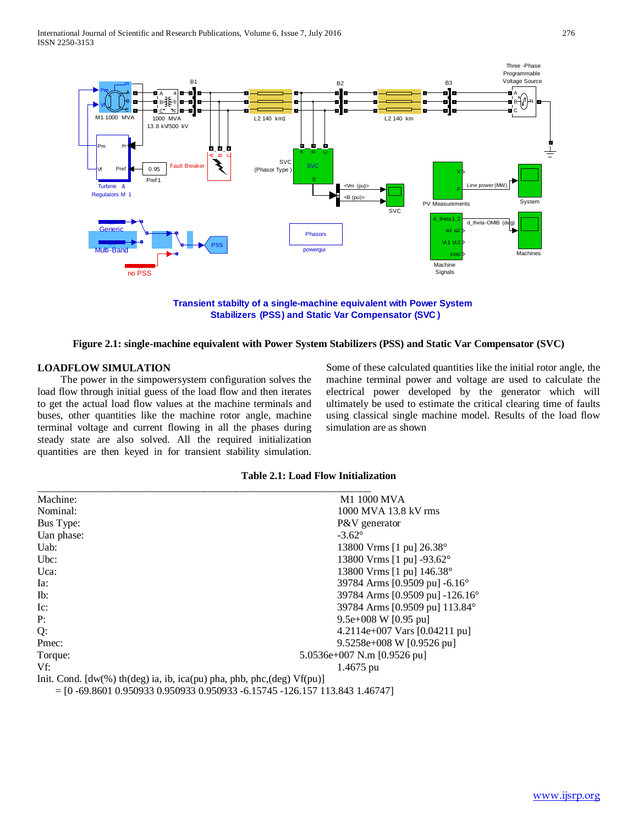

**Transient stabilty of a single-machine equivalent with Power System Stabilizers (PSS) and Static Var Compensator (SVC )**

#### **Figure 2.1: single-machine equivalent with Power System Stabilizers (PSS) and Static Var Compensator (SVC)**

## **LOADFLOW SIMULATION**

 The power in the simpowersystem configuration solves the load flow through initial guess of the load flow and then iterates to get the actual load flow values at the machine terminals and buses, other quantities like the machine rotor angle, machine terminal voltage and current flowing in all the phases during steady state are also solved. All the required initialization quantities are then keyed in for transient stability simulation. Some of these calculated quantities like the initial rotor angle, the machine terminal power and voltage are used to calculate the electrical power developed by the generator which will ultimately be used to estimate the critical clearing time of faults using classical single machine model. Results of the load flow simulation are as shown

|  |  |  | <b>Table 2.1: Load Flow Initialization</b> |
|--|--|--|--------------------------------------------|
|--|--|--|--------------------------------------------|

| Machine:                                                                                                                                    | <b>M1 1000 MVA</b>                    |
|---------------------------------------------------------------------------------------------------------------------------------------------|---------------------------------------|
| Nominal:                                                                                                                                    | 1000 MVA 13.8 kV rms                  |
| Bus Type:                                                                                                                                   | P&V generator                         |
| Uan phase:                                                                                                                                  | $-3.62^{\circ}$                       |
| Uab:                                                                                                                                        | 13800 Vrms [1 pu] 26.38°              |
| $Ubc$ :                                                                                                                                     | 13800 Vrms [1 pu] $-93.62^{\circ}$    |
| Uca:                                                                                                                                        | 13800 Vrms [1 pu] 146.38°             |
| Ia:                                                                                                                                         | 39784 Arms [0.9509 pu] -6.16°         |
| Ib:                                                                                                                                         | 39784 Arms [0.9509 pu] -126.16°       |
| $Ic$ :                                                                                                                                      | 39784 Arms [0.9509 pu] 113.84°        |
| P:                                                                                                                                          | 9.5e+008 W $[0.95$ pu]                |
| Q:                                                                                                                                          | 4.2114e+007 Vars $[0.04211$ pu]       |
| Pmec:                                                                                                                                       | $9.5258e+008$ W [0.9526 pu]           |
| Torque:                                                                                                                                     | 5.0536e+007 N.m $[0.9526 \text{ pu}]$ |
| Vf:                                                                                                                                         | $1.4675$ pu                           |
| Init. Cond. $[dw(\%)$ th(deg) ia, ib, ica(pu) pha, phb, phc,(deg) $Vf(pu)$ ]<br>$\sim$ 0.601, 0.050000, 0.050000, 0.050000, 0.15515, 10.631 |                                       |

= [0 -69.8601 0.950933 0.950933 0.950933 -6.15745 -126.157 113.843 1.46747]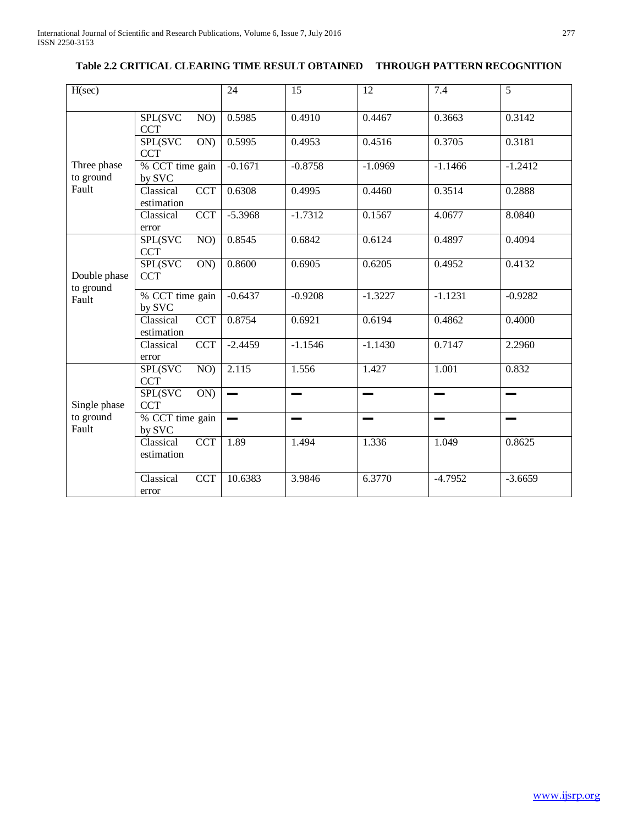# **Table 2.2 CRITICAL CLEARING TIME RESULT OBTAINED THROUGH PATTERN RECOGNITION**

| H(sec)                             |                                        | 24                 | $\overline{15}$ | 12        | 7.4       | 5         |
|------------------------------------|----------------------------------------|--------------------|-----------------|-----------|-----------|-----------|
| Three phase<br>to ground<br>Fault  | SPL(SVC<br>NO)<br><b>CCT</b>           | 0.5985             | 0.4910          | 0.4467    | 0.3663    | 0.3142    |
|                                    | <b>SPL(SVC</b><br>ON)<br><b>CCT</b>    | 0.5995             | 0.4953          | 0.4516    | 0.3705    | 0.3181    |
|                                    | % CCT time gain<br>by SVC              | $-0.1671$          | $-0.8758$       | $-1.0969$ | $-1.1466$ | $-1.2412$ |
|                                    | Classical<br><b>CCT</b><br>estimation  | 0.6308             | 0.4995          | 0.4460    | 0.3514    | 0.2888    |
|                                    | Classical<br>$\overline{CCT}$<br>error | $-5.3968$          | $-1.7312$       | 0.1567    | 4.0677    | 8.0840    |
| Double phase<br>to ground<br>Fault | SPL(SVC<br>NO)<br><b>CCT</b>           | 0.8545             | 0.6842          | 0.6124    | 0.4897    | 0.4094    |
|                                    | <b>SPL(SVC</b><br>ON)<br><b>CCT</b>    | 0.8600             | 0.6905          | 0.6205    | 0.4952    | 0.4132    |
|                                    | % CCT time gain<br>by SVC              | $-0.6437$          | $-0.9208$       | $-1.3227$ | $-1.1231$ | $-0.9282$ |
|                                    | Classical<br><b>CCT</b><br>estimation  | 0.8754             | 0.6921          | 0.6194    | 0.4862    | 0.4000    |
|                                    | <b>CCT</b><br>Classical<br>error       | $-2.4459$          | $-1.1546$       | $-1.1430$ | 0.7147    | 2.2960    |
| Single phase<br>to ground<br>Fault | SPL(SVC<br>NO)<br><b>CCT</b>           | $\overline{2.115}$ | 1.556           | 1.427     | 1.001     | 0.832     |
|                                    | SPL(SVC<br>ON)<br><b>CCT</b>           |                    |                 |           |           |           |
|                                    | % CCT time gain<br>by SVC              |                    |                 | --        |           |           |
|                                    | <b>CCT</b><br>Classical<br>estimation  | 1.89               | 1.494           | 1.336     | 1.049     | 0.8625    |
|                                    | Classical<br><b>CCT</b><br>error       | 10.6383            | 3.9846          | 6.3770    | $-4.7952$ | $-3.6659$ |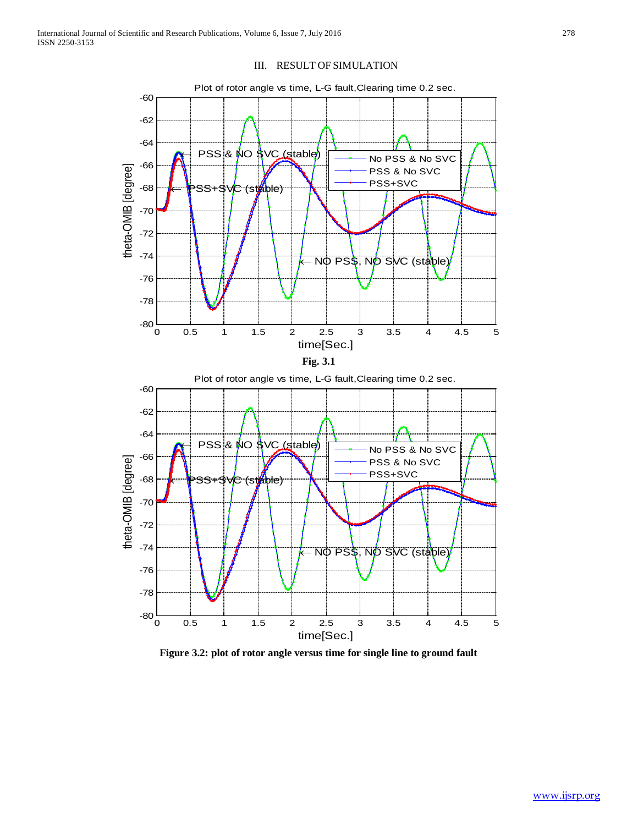



**Figure 3.2: plot of rotor angle versus time for single line to ground fault**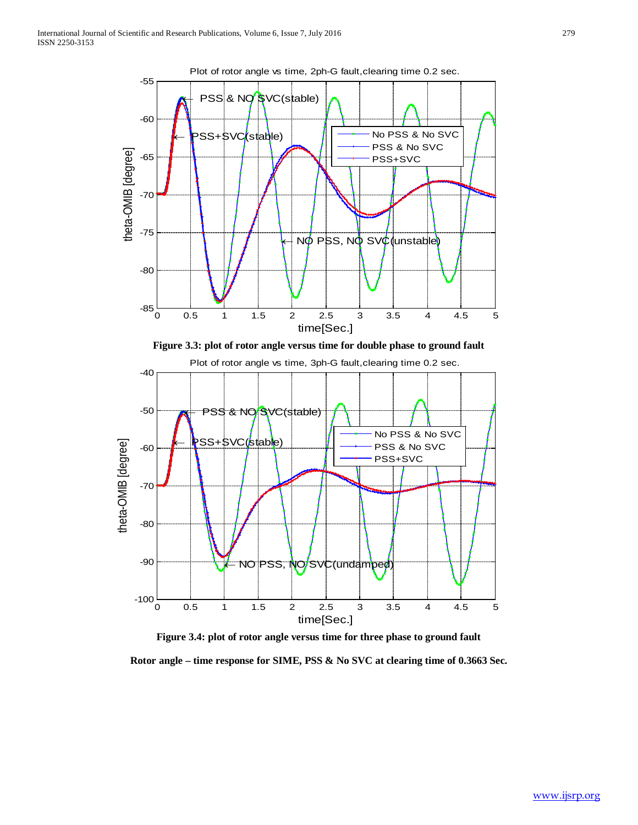

**Figure 3.4: plot of rotor angle versus time for three phase to ground fault**

**Rotor angle – time response for SIME, PSS & No SVC at clearing time of 0.3663 Sec.**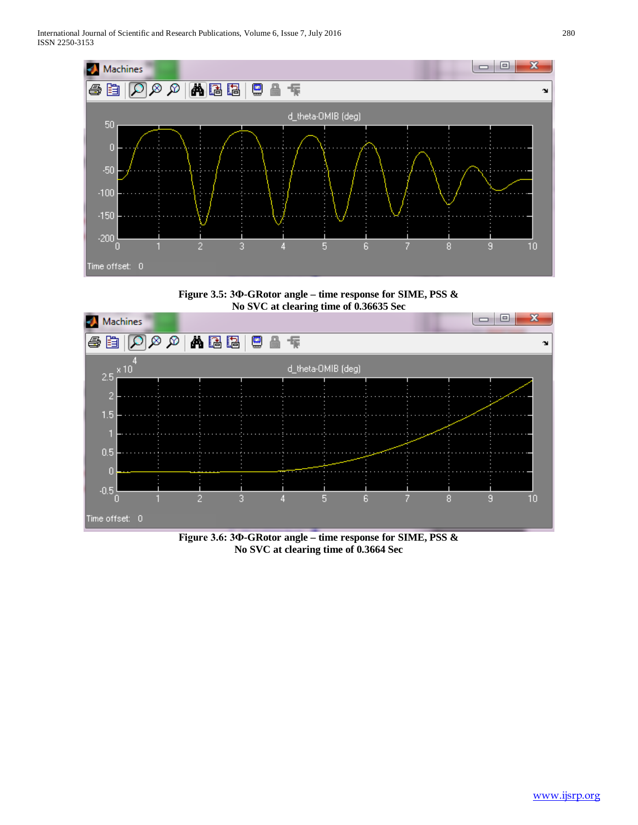





**Figure 3.6: 3Ф-GRotor angle – time response for SIME, PSS & No SVC at clearing time of 0.3664 Sec**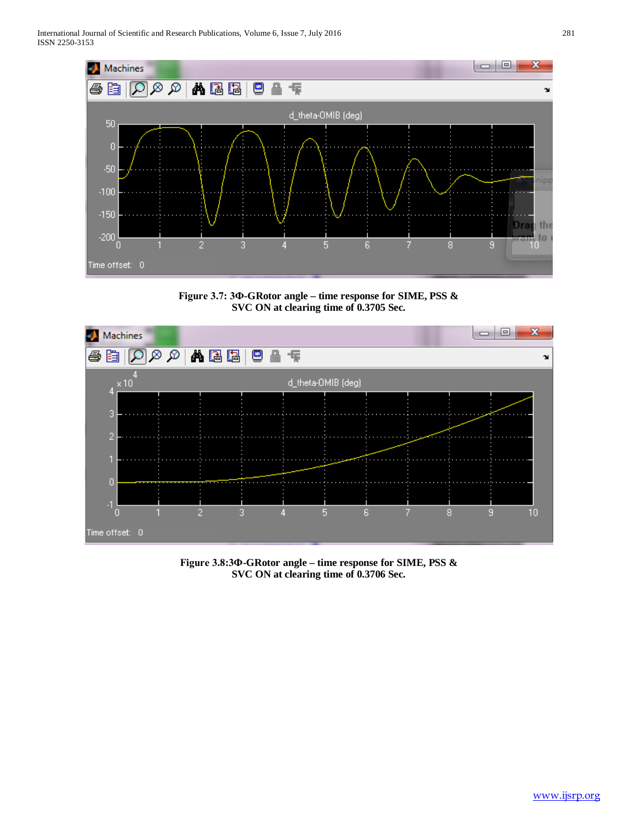

**Figure 3.7: 3Ф-GRotor angle – time response for SIME, PSS & SVC ON at clearing time of 0.3705 Sec.**



**Figure 3.8:3Ф-GRotor angle – time response for SIME, PSS & SVC ON at clearing time of 0.3706 Sec.**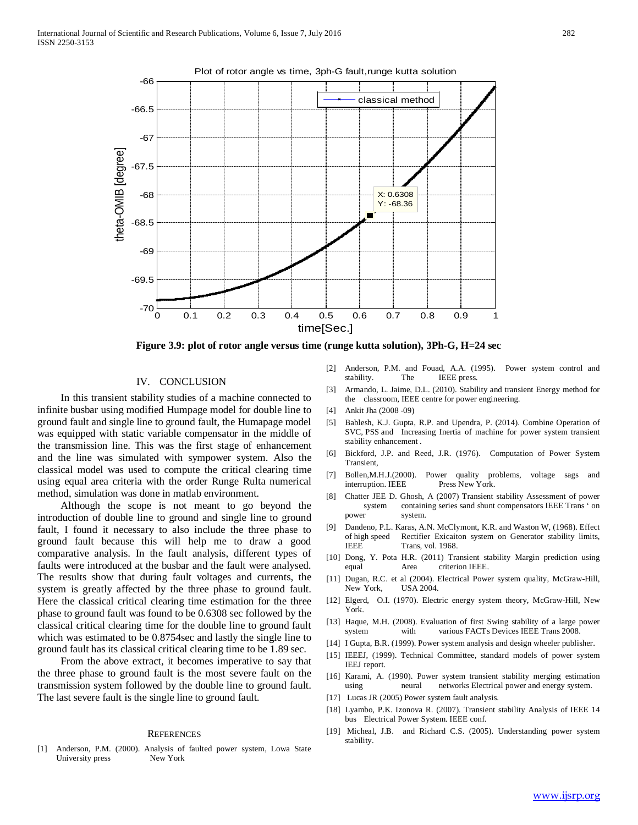

**Figure 3.9: plot of rotor angle versus time (runge kutta solution), 3Ph-G, H=24 sec**

#### IV. CONCLUSION

 In this transient stability studies of a machine connected to infinite busbar using modified Humpage model for double line to ground fault and single line to ground fault, the Humapage model was equipped with static variable compensator in the middle of the transmission line. This was the first stage of enhancement and the line was simulated with sympower system. Also the classical model was used to compute the critical clearing time using equal area criteria with the order Runge Rulta numerical method, simulation was done in matlab environment.

 Although the scope is not meant to go beyond the introduction of double line to ground and single line to ground fault, I found it necessary to also include the three phase to ground fault because this will help me to draw a good comparative analysis. In the fault analysis, different types of faults were introduced at the busbar and the fault were analysed. The results show that during fault voltages and currents, the system is greatly affected by the three phase to ground fault. Here the classical critical clearing time estimation for the three phase to ground fault was found to be 0.6308 sec followed by the classical critical clearing time for the double line to ground fault which was estimated to be 0.8754sec and lastly the single line to ground fault has its classical critical clearing time to be 1.89 sec.

 From the above extract, it becomes imperative to say that the three phase to ground fault is the most severe fault on the transmission system followed by the double line to ground fault. The last severe fault is the single line to ground fault.

#### **REFERENCES**

[1] Anderson, P.M. (2000). Analysis of faulted power system, Lowa State University press New York

- [2] Anderson, P.M. and Fouad, A.A. (1995). Power system control and stability. The IEEE press.
- [3] Armando, L. Jaime, D.L. (2010). Stability and transient Energy method for the classroom, IEEE centre for power engineering.
- [4] Ankit Jha (2008 -09)
- [5] Bablesh, K.J. Gupta, R.P. and Upendra, P. (2014). Combine Operation of SVC, PSS and Increasing Inertia of machine for power system transient stability enhancement .
- [6] Bickford, J.P. and Reed, J.R. (1976). Computation of Power System Transient,
- [7] Bollen,M.H.J.(2000). Power quality problems, voltage sags and interruption. IEEE Press New York.
- [8] Chatter JEE D. Ghosh, A (2007) Transient stability Assessment of power system containing series sand shunt compensators IEEE Trans ' on power system.
- [9] Dandeno, P.L. Karas, A.N. McClymont, K.R. and Waston W, (1968). Effect of high speed Rectifier Exicaiton system on Generator stability limits, IEEE Trans, vol. 1968.
- [10] Dong, Y. Pota H.R. (2011) Transient stability Margin prediction using equal Area criterion IEEE.
- [11] Dugan, R.C. et al (2004). Electrical Power system quality, McGraw-Hill, New York, USA 2004.
- [12] Elgerd, O.I. (1970). Electric energy system theory, McGraw-Hill, New York.
- [13] Haque, M.H. (2008). Evaluation of first Swing stability of a large power system with various FACTs Devices IEEE Trans 2008.
- [14] I Gupta, B.R. (1999). Power system analysis and design wheeler publisher.
- [15] IEEEJ, (1999). Technical Committee, standard models of power system IEEJ report.
- [16] Karami, A. (1990). Power system transient stability merging estimation using neural networks Electrical power and energy system.
- [17] Lucas JR (2005) Power system fault analysis.
- [18] Lyambo, P.K. Izonova R. (2007). Transient stability Analysis of IEEE 14 bus Electrical Power System. IEEE conf.
- [19] Micheal, J.B. and Richard C.S. (2005). Understanding power system stability.